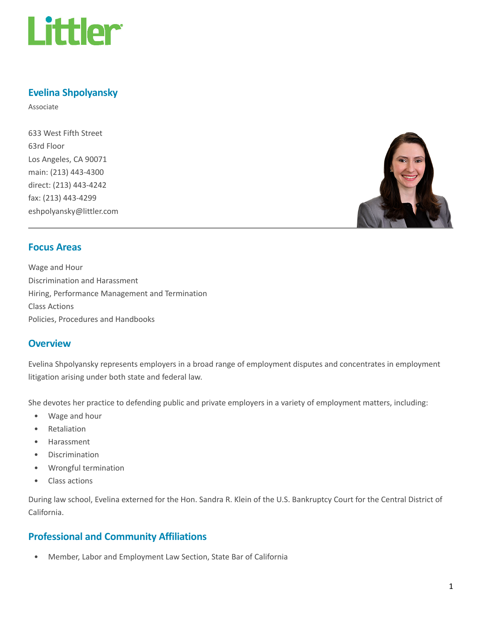

# Evelina Shpolyansky

Associate

633 West Fifth Street 63rd Floor Los Angeles, CA 90071 main: (213) 443-4300 direct: (213) 443-4242 fax: (213) 443-4299 eshpolyansky@littler.com



### Focus Areas

Wage and Hour Discrimination and Harassment Hiring, Performance Management and Termination Class Actions Policies, Procedures and Handbooks

### **Overview**

Evelina Shpolyansky represents employers in a broad range of employment disputes and concentrates in employment litigation arising under both state and federal law.

She devotes her practice to defending public and private employers in a variety of employment matters, including:

- Wage and hour
- Retaliation
- Harassment
- Discrimination
- Wrongful termination
- Class actions

During law school, Evelina externed for the Hon. Sandra R. Klein of the U.S. Bankruptcy Court for the Central District of California.

### Professional and Community Affiliations

• Member, Labor and Employment Law Section, State Bar of California